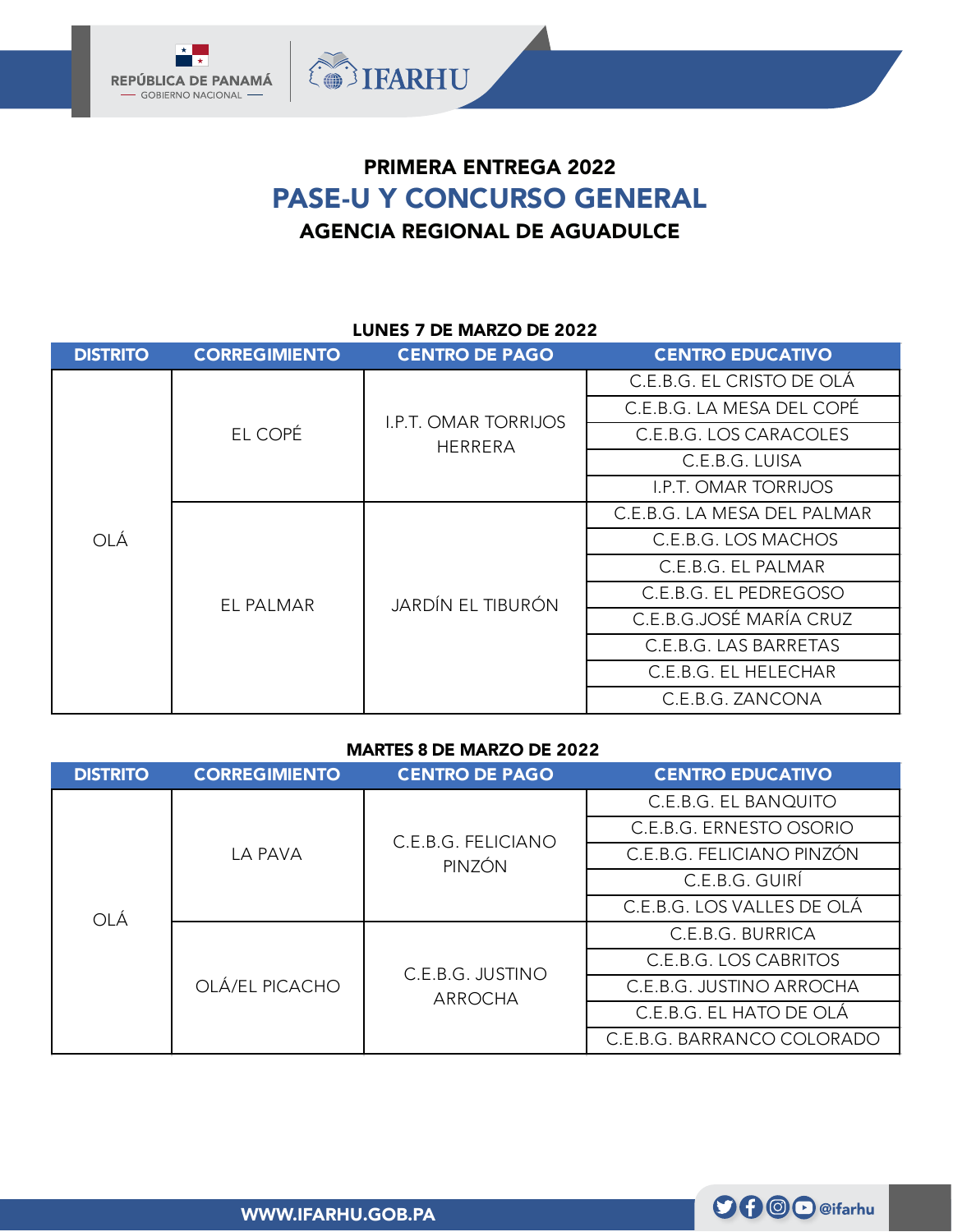

# PRIMERA ENTREGA 2022 PASE-U Y CONCURSO GENERAL AGENCIA REGIONAL DE AGUADULCE

## LUNES 7 DE MARZO DE 2022

| <b>DISTRITO</b> | <b>CORREGIMIENTO</b> | <b>CENTRO DE PAGO</b>                         | <b>CENTRO EDUCATIVO</b>     |
|-----------------|----------------------|-----------------------------------------------|-----------------------------|
|                 | EL COPÉ              | <b>I.P.T. OMAR TORRIJOS</b><br><b>HERRERA</b> | C.E.B.G. EL CRISTO DE OLÁ   |
|                 |                      |                                               | C.E.B.G. LA MESA DEL COPÉ   |
|                 |                      |                                               | C.E.B.G. LOS CARACOLES      |
|                 |                      |                                               | C.E.B.G. LUISA              |
|                 |                      |                                               | <b>I.P.T. OMAR TORRIJOS</b> |
| OLÁ             | EL PALMAR            | JARDÍN EL TIBURÓN                             | C.E.B.G. LA MESA DEL PALMAR |
|                 |                      |                                               | C.E.B.G. LOS MACHOS         |
|                 |                      |                                               | C.E.B.G. EL PALMAR          |
|                 |                      |                                               | C.E.B.G. EL PEDREGOSO       |
|                 |                      |                                               | C.E.B.G.JOSÉ MARÍA CRUZ     |
|                 |                      |                                               | C.E.B.G. LAS BARRETAS       |
|                 |                      |                                               | C.E.B.G. EL HELECHAR        |
|                 |                      |                                               | C.E.B.G. ZANCONA            |

#### MARTES 8 DE MARZO DE 2022

| <b>DISTRITO</b> | <b>CORREGIMIENTO</b> | <b>CENTRO DE PAGO</b>        | <b>CENTRO EDUCATIVO</b>    |
|-----------------|----------------------|------------------------------|----------------------------|
|                 | LA PAVA              | C.E.B.G. FELICIANO<br>PINZÓN | C.E.B.G. EL BANQUITO       |
|                 |                      |                              | C.E.B.G. ERNESTO OSORIO    |
|                 |                      |                              | C.E.B.G. FELICIANO PINZÓN  |
| OLÁ             |                      |                              | C.E.B.G. GUIRÍ             |
|                 |                      |                              | C.E.B.G. LOS VALLES DE OLÁ |
|                 | OLÁ/EL PICACHO       | C.E.B.G. JUSTINO<br>ARROCHA  | C.E.B.G. BURRICA           |
|                 |                      |                              | C.E.B.G. LOS CABRITOS      |
|                 |                      |                              | C.E.B.G. JUSTINO ARROCHA   |
|                 |                      |                              | C.E.B.G. EL HATO DE OLÁ    |
|                 |                      |                              | C.E.B.G. BARRANCO COLORADO |

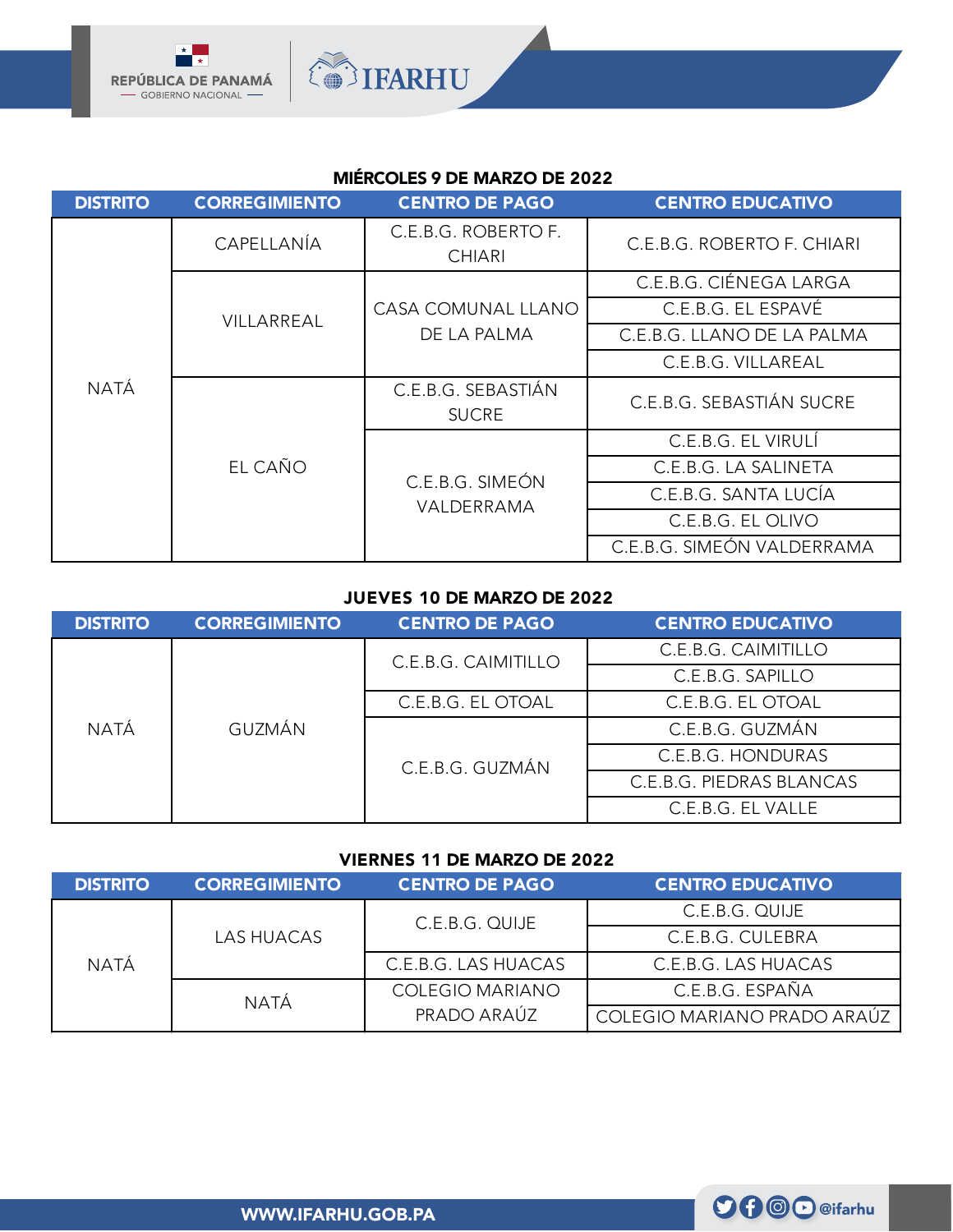

# MIÉRCOLES 9 DE MARZO DE 2022

**OBSIFARHU** 

| <b>DISTRITO</b> | <b>CORREGIMIENTO</b> | <b>CENTRO DE PAGO</b>                | <b>CENTRO EDUCATIVO</b>    |
|-----------------|----------------------|--------------------------------------|----------------------------|
|                 | CAPELLANÍA           | C.E.B.G. ROBERTO F.<br><b>CHIARI</b> | C.E.B.G. ROBERTO F. CHIARI |
|                 | VILLARREAL           |                                      | C.E.B.G. CIÉNEGA LARGA     |
|                 |                      | CASA COMUNAL LLANO                   | C.E.B.G. EL ESPAVÉ         |
|                 |                      | DE LA PALMA                          | C.E.B.G. LLANO DE LA PALMA |
|                 |                      |                                      | C.E.B.G. VILLAREAL         |
| NATÁ            |                      | C.E.B.G. SEBASTIÁN<br><b>SUCRE</b>   | C.E.B.G. SEBASTIÁN SUCRE   |
|                 | EL CAÑO              |                                      | C.E.B.G. EL VIRULÍ         |
|                 |                      | C.E.B.G. SIMEÓN<br>VALDERRAMA        | C.E.B.G. LA SALINETA       |
|                 |                      |                                      | C.E.B.G. SANTA LUCÍA       |
|                 |                      |                                      | C.E.B.G. EL OLIVO          |
|                 |                      |                                      | C.E.B.G. SIMEÓN VALDERRAMA |

## JUEVES 10 DE MARZO DE 2022

| <b>DISTRITO</b> | <b>CORREGIMIENTO</b> | <b>CENTRO DE PAGO</b> | <b>CENTRO EDUCATIVO</b>  |
|-----------------|----------------------|-----------------------|--------------------------|
| NATÁ            | <b>GUZMÁN</b>        | C.E.B.G. CAIMITILLO   | C.E.B.G. CAIMITILLO      |
|                 |                      |                       | C.E.B.G. SAPILLO         |
|                 |                      | C.E.B.G. EL OTOAL     | C.E.B.G. EL OTOAL        |
|                 |                      | C.E.B.G. GUZMÁN       | C.E.B.G. GUZMÁN          |
|                 |                      |                       | C.E.B.G. HONDURAS        |
|                 |                      |                       | C.E.B.G. PIEDRAS BLANCAS |
|                 |                      |                       | C.E.B.G. EL VALLE        |

## VIERNES 11 DE MARZO DE 2022

| <b>DISTRITO</b> | <b>CORREGIMIENTO</b> | <b>CENTRO DE PAGO</b>  | <b>CENTRO EDUCATIVO</b>     |
|-----------------|----------------------|------------------------|-----------------------------|
| NATÁ            | <b>LAS HUACAS</b>    | C.E.B.G. QUIJE         | C.E.B.G. QUIJE              |
|                 |                      |                        | C.E.B.G. CULEBRA            |
|                 |                      | C.E.B.G. LAS HUACAS    | C.E.B.G. LAS HUACAS         |
|                 | NATÁ                 | <b>COLEGIO MARIANO</b> | C.E.B.G. ESPAÑA             |
|                 |                      | PRADO ARAÚZ            | COLEGIO MARIANO PRADO ARAÚZ |

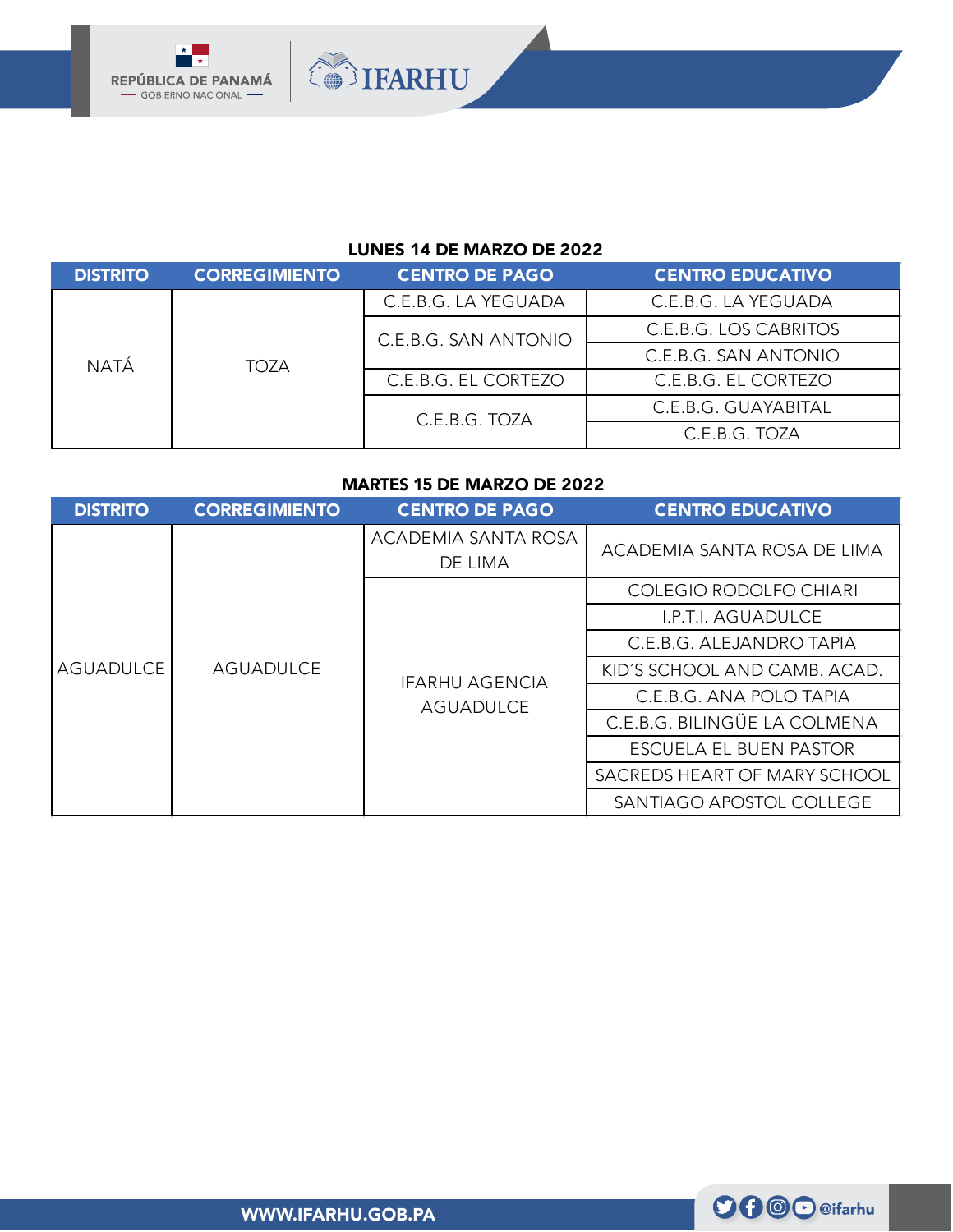

## LUNES 14 DE MARZO DE 2022

**OBSIFARHU** 

| <b>DISTRITO</b> | <b>CORREGIMIENTO</b> | <b>CENTRO DE PAGO</b> | <b>CENTRO EDUCATIVO</b> |
|-----------------|----------------------|-----------------------|-------------------------|
| NATÁ            | TOZA                 | C.E.B.G. LA YEGUADA   | C.E.B.G. LA YEGUADA     |
|                 |                      | C.E.B.G. SAN ANTONIO  | C.E.B.G. LOS CABRITOS   |
|                 |                      |                       | C.E.B.G. SAN ANTONIO    |
|                 |                      | C.E.B.G. EL CORTEZO   | C.E.B.G. EL CORTEZO     |
|                 |                      | C.E.B.G. TOZA         | C.E.B.G. GUAYABITAL     |
|                 |                      |                       | C.E.B.G. TOZA           |

#### MARTES 15 DE MARZO DE 2022

| <b>DISTRITO</b> | <b>CORREGIMIENTO</b> | <b>CENTRO DE PAGO</b>              | <b>CENTRO EDUCATIVO</b>       |
|-----------------|----------------------|------------------------------------|-------------------------------|
|                 | <b>AGUADULCE</b>     | ACADEMIA SANTA ROSA<br>DE LIMA     | ACADEMIA SANTA ROSA DE LIMA   |
|                 |                      | <b>IFARHU AGENCIA</b><br>AGUADULCE | <b>COLEGIO RODOLFO CHIARI</b> |
| AGUADULCE       |                      |                                    | <b>I.P.T.I. AGUADULCE</b>     |
|                 |                      |                                    | C.E.B.G. ALEJANDRO TAPIA      |
|                 |                      |                                    | KID'S SCHOOL AND CAMB. ACAD.  |
|                 |                      |                                    | C.E.B.G. ANA POLO TAPIA       |
|                 |                      |                                    | C.E.B.G. BILINGÜE LA COLMENA  |
|                 |                      |                                    | ESCUELA EL BUEN PASTOR        |
|                 |                      |                                    | SACREDS HEART OF MARY SCHOOL  |
|                 |                      |                                    | SANTIAGO APOSTOL COLLEGE      |